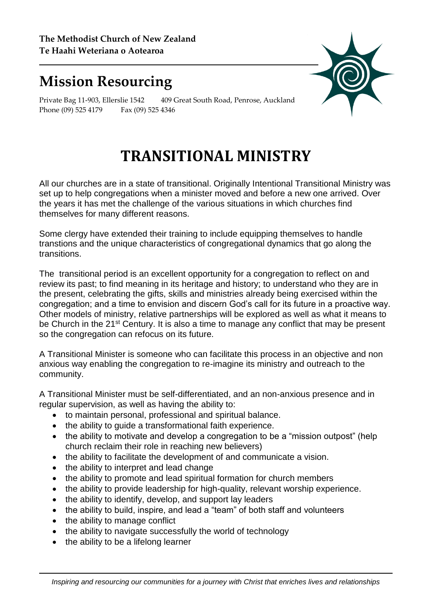## **Mission Resourcing**



Private Bag 11-903, Ellerslie 1542 409 Great South Road, Penrose, Auckland Phone (09) 525 4179 Fax (09) 525 4346

## **TRANSITIONAL MINISTRY**

All our churches are in a state of transitional. Originally Intentional Transitional Ministry was set up to help congregations when a minister moved and before a new one arrived. Over the years it has met the challenge of the various situations in which churches find themselves for many different reasons.

Some clergy have extended their training to include equipping themselves to handle transtions and the unique characteristics of congregational dynamics that go along the transitions.

The transitional period is an excellent opportunity for a congregation to reflect on and review its past; to find meaning in its heritage and history; to understand who they are in the present, celebrating the gifts, skills and ministries already being exercised within the congregation; and a time to envision and discern God's call for its future in a proactive way. Other models of ministry, relative partnerships will be explored as well as what it means to be Church in the 21<sup>st</sup> Century. It is also a time to manage any conflict that may be present so the congregation can refocus on its future.

A Transitional Minister is someone who can facilitate this process in an objective and non anxious way enabling the congregation to re-imagine its ministry and outreach to the community.

A Transitional Minister must be self-differentiated, and an non-anxious presence and in regular supervision, as well as having the ability to:

- to maintain personal, professional and spiritual balance.
- the ability to quide a transformational faith experience.
- the ability to motivate and develop a congregation to be a "mission outpost" (help church reclaim their role in reaching new believers)
- the ability to facilitate the development of and communicate a vision.
- the ability to interpret and lead change
- the ability to promote and lead spiritual formation for church members
- the ability to provide leadership for high-quality, relevant worship experience.
- the ability to identify, develop, and support lay leaders
- the ability to build, inspire, and lead a "team" of both staff and volunteers
- the ability to manage conflict
- the ability to navigate successfully the world of technology
- $\bullet$  the ability to be a lifelong learner